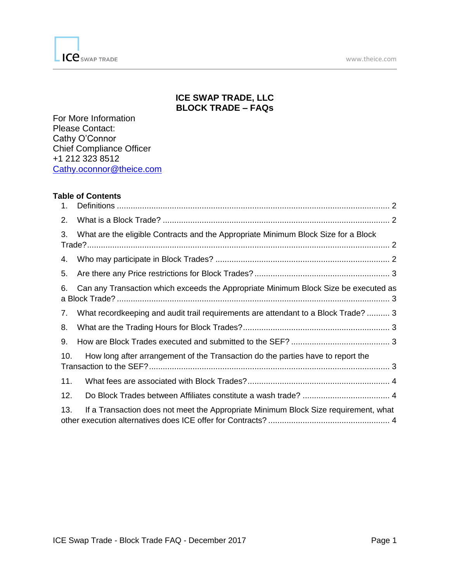

# **ICE SWAP TRADE, LLC BLOCK TRADE – FAQs**

For More Information Please Contact: Cathy O'Connor Chief Compliance Officer +1 212 323 8512 [Cathy.oconnor@theice.com](mailto:Cathy.oconnor@theice.com)

#### **Table of Contents**

| 1.  |                                                                                     |
|-----|-------------------------------------------------------------------------------------|
| 2.  |                                                                                     |
| 3.  | What are the eligible Contracts and the Appropriate Minimum Block Size for a Block  |
| 4.  |                                                                                     |
| 5.  |                                                                                     |
| 6.  | Can any Transaction which exceeds the Appropriate Minimum Block Size be executed as |
| 7.  | What recordkeeping and audit trail requirements are attendant to a Block Trade?  3  |
| 8.  |                                                                                     |
| 9.  |                                                                                     |
| 10. | How long after arrangement of the Transaction do the parties have to report the     |
| 11. |                                                                                     |
| 12. |                                                                                     |
| 13. | If a Transaction does not meet the Appropriate Minimum Block Size requirement, what |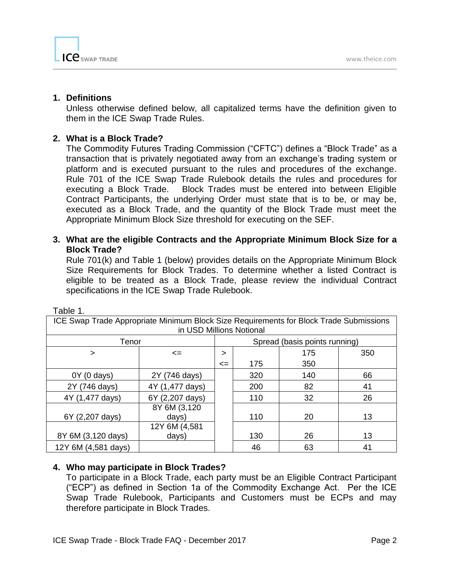

### <span id="page-1-0"></span>**1. Definitions**

Unless otherwise defined below, all capitalized terms have the definition given to them in the ICE Swap Trade Rules.

## <span id="page-1-1"></span>**2. What is a Block Trade?**

The Commodity Futures Trading Commission ("CFTC") defines a "Block Trade" as a transaction that is privately negotiated away from an exchange's trading system or platform and is executed pursuant to the rules and procedures of the exchange. Rule 701 of the ICE Swap Trade Rulebook details the rules and procedures for executing a Block Trade. Block Trades must be entered into between Eligible Contract Participants, the underlying Order must state that is to be, or may be, executed as a Block Trade, and the quantity of the Block Trade must meet the Appropriate Minimum Block Size threshold for executing on the SEF.

## <span id="page-1-2"></span>**3. What are the eligible Contracts and the Appropriate Minimum Block Size for a Block Trade?**

Rule 701(k) and Table 1 (below) provides details on the Appropriate Minimum Block Size Requirements for Block Trades. To determine whether a listed Contract is eligible to be treated as a Block Trade, please review the individual Contract specifications in the ICE Swap Trade Rulebook.

| ICE Swap Trade Appropriate Minimum Block Size Requirements for Block Trade Submissions<br>in USD Millions Notional |                       |        |                               |     |     |  |  |
|--------------------------------------------------------------------------------------------------------------------|-----------------------|--------|-------------------------------|-----|-----|--|--|
| Tenor                                                                                                              |                       |        | Spread (basis points running) |     |     |  |  |
| ⋗                                                                                                                  | $\leq$                | >      |                               | 175 | 350 |  |  |
|                                                                                                                    |                       | $\leq$ | 175                           | 350 |     |  |  |
| $0Y(0 \text{ days})$                                                                                               | 2Y (746 days)         |        | 320                           | 140 | 66  |  |  |
| 2Y (746 days)                                                                                                      | 4Y (1,477 days)       |        | 200                           | 82  | 41  |  |  |
| 4Y (1,477 days)                                                                                                    | 6Y (2,207 days)       |        | 110                           | 32  | 26  |  |  |
| 6Y (2,207 days)                                                                                                    | 8Y 6M (3,120<br>days) |        | 110                           | 20  | 13  |  |  |
|                                                                                                                    | 12Y 6M (4,581         |        |                               |     |     |  |  |
| 8Y 6M (3,120 days)                                                                                                 | days)                 |        | 130                           | 26  | 13  |  |  |
| 12Y 6M (4,581 days)                                                                                                |                       |        | 46                            | 63  | 41  |  |  |

Table 1.

## <span id="page-1-3"></span>**4. Who may participate in Block Trades?**

To participate in a Block Trade, each party must be an Eligible Contract Participant ("ECP") as defined in Section 1a of the Commodity Exchange Act. Per the ICE Swap Trade Rulebook, Participants and Customers must be ECPs and may therefore participate in Block Trades.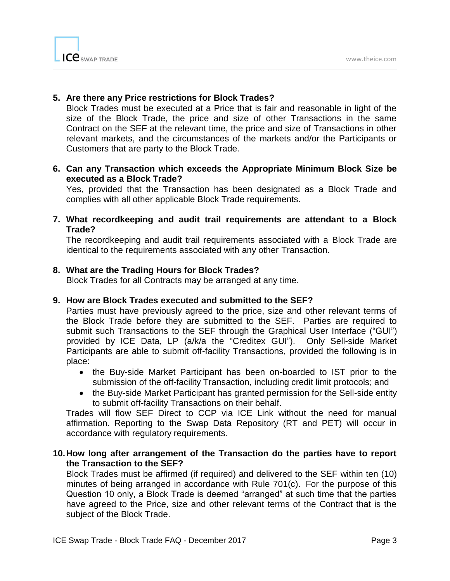

## <span id="page-2-0"></span>**5. Are there any Price restrictions for Block Trades?**

Block Trades must be executed at a Price that is fair and reasonable in light of the size of the Block Trade, the price and size of other Transactions in the same Contract on the SEF at the relevant time, the price and size of Transactions in other relevant markets, and the circumstances of the markets and/or the Participants or Customers that are party to the Block Trade.

# <span id="page-2-1"></span>**6. Can any Transaction which exceeds the Appropriate Minimum Block Size be executed as a Block Trade?**

Yes, provided that the Transaction has been designated as a Block Trade and complies with all other applicable Block Trade requirements.

<span id="page-2-2"></span>**7. What recordkeeping and audit trail requirements are attendant to a Block Trade?**

The recordkeeping and audit trail requirements associated with a Block Trade are identical to the requirements associated with any other Transaction.

# <span id="page-2-3"></span>**8. What are the Trading Hours for Block Trades?**

Block Trades for all Contracts may be arranged at any time.

## <span id="page-2-4"></span>**9. How are Block Trades executed and submitted to the SEF?**

Parties must have previously agreed to the price, size and other relevant terms of the Block Trade before they are submitted to the SEF. Parties are required to submit such Transactions to the SEF through the Graphical User Interface ("GUI") provided by ICE Data, LP (a/k/a the "Creditex GUI"). Only Sell-side Market Participants are able to submit off-facility Transactions, provided the following is in place:

- the Buy-side Market Participant has been on-boarded to IST prior to the submission of the off-facility Transaction, including credit limit protocols; and
- the Buy-side Market Participant has granted permission for the Sell-side entity to submit off-facility Transactions on their behalf.

Trades will flow SEF Direct to CCP via ICE Link without the need for manual affirmation. Reporting to the Swap Data Repository (RT and PET) will occur in accordance with regulatory requirements.

## <span id="page-2-5"></span>**10.How long after arrangement of the Transaction do the parties have to report the Transaction to the SEF?**

Block Trades must be affirmed (if required) and delivered to the SEF within ten (10) minutes of being arranged in accordance with Rule 701(c). For the purpose of this Question 10 only, a Block Trade is deemed "arranged" at such time that the parties have agreed to the Price, size and other relevant terms of the Contract that is the subject of the Block Trade.